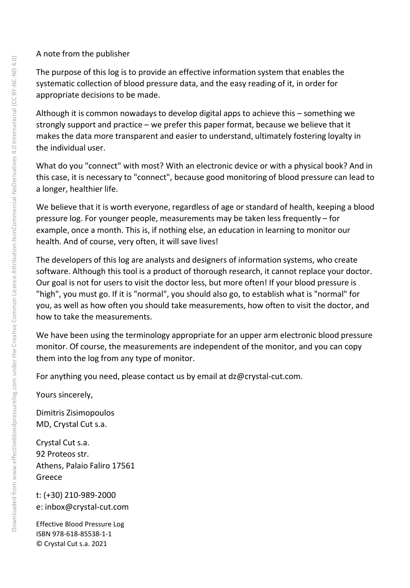#### A note from the publisher

The purpose of this log is to provide an effective information system that enables the systematic collection of blood pressure data, and the easy reading of it, in order for appropriate decisions to be made.

Although it is common nowadays to develop digital apps to achieve this – something we strongly support and practice – we prefer this paper format, because we believe that it makes the data more transparent and easier to understand, ultimately fostering loyalty in the individual user.

What do you "connect" with most? With an electronic device or with a physical book? And in this case, it is necessary to "connect", because good monitoring of blood pressure can lead to a longer, healthier life.

We believe that it is worth everyone, regardless of age or standard of health, keeping a blood pressure log. For younger people, measurements may be taken less frequently – for example, once a month. This is, if nothing else, an education in learning to monitor our health. And of course, very often, it will save lives!

The developers of this log are analysts and designers of information systems, who create software. Although this tool is a product of thorough research, it cannot replace your doctor. Our goal is not for users to visit the doctor less, but more often! If your blood pressure is "high", you must go. If it is "normal", you should also go, to establish what is "normal" for you, as well as how often you should take measurements, how often to visit the doctor, and how to take the measurements.

We have been using the terminology appropriate for an upper arm electronic blood pressure monitor. Of course, the measurements are independent of the monitor, and you can copy them into the log from any type of monitor.

For anything you need, please contact us by email at dz@crystal-cut.com.

Yours sincerely,

Dimitris Zisimopoulos MD, Crystal Cut s.a.

Crystal Cut s.a. 92 Proteos str. Athens, Palaio Faliro 17561 Greece

t: (+30) 210-989-2000 e: inbox@crystal-cut.com

Effective Blood Pressure Log ISBN 978-618-85538-1-1 © Crystal Cut s.a. 2021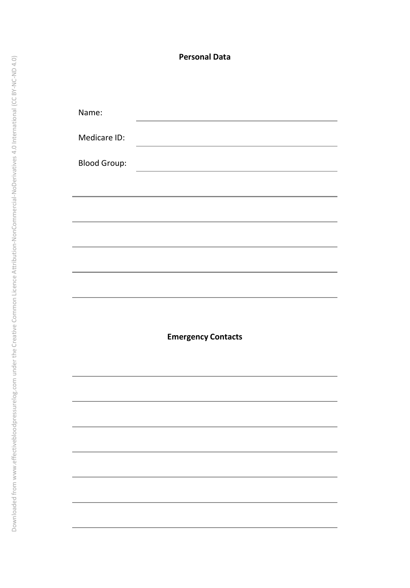# **Personal Data**

| Name:               |                                              |  |
|---------------------|----------------------------------------------|--|
| Medicare ID:        |                                              |  |
| <b>Blood Group:</b> | the control of the control of the control of |  |
|                     |                                              |  |
|                     |                                              |  |
|                     |                                              |  |
|                     |                                              |  |
|                     |                                              |  |
|                     |                                              |  |
|                     |                                              |  |
|                     | <b>Emergency Contacts</b>                    |  |
|                     |                                              |  |
|                     |                                              |  |
|                     |                                              |  |
|                     |                                              |  |
|                     |                                              |  |
|                     |                                              |  |
|                     |                                              |  |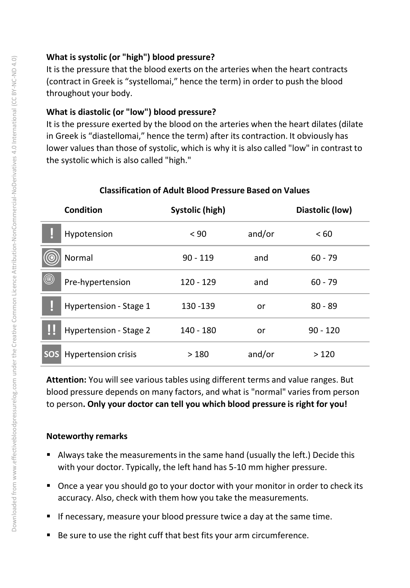# **What is systolic (or "high") blood pressure?**

It is the pressure that the blood exerts on the arteries when the heart contracts (contract in Greek is "systellomai," hence the term) in order to push the blood throughout your body.

# **What is diastolic (or "low") blood pressure?**

It is the pressure exerted by the blood on the arteries when the heart dilates (dilate in Greek is "diastellomai," hence the term) after its contraction. It obviously has lower values than those of systolic, which is why it is also called "low" in contrast to the systolic which is also called "high."

|                | <b>Condition</b>           | <b>Systolic (high)</b> |        | Diastolic (low) |
|----------------|----------------------------|------------------------|--------|-----------------|
|                | Hypotension                | < 90                   | and/or | <60             |
|                | Normal                     | $90 - 119$             | and    | $60 - 79$       |
| $^{\circledR}$ | Pre-hypertension           | $120 - 129$            | and    | $60 - 79$       |
|                | Hypertension - Stage 1     | 130 - 139              | or     | $80 - 89$       |
|                | Hypertension - Stage 2     | 140 - 180              | or     | $90 - 120$      |
| <b>SOS</b>     | <b>Hypertension crisis</b> | >180                   | and/or | >120            |

## **Classification of Adult Blood Pressure Based on Values**

**Attention:** You will see various tables using different terms and value ranges. But blood pressure depends on many factors, and what is "normal" varies from person to person**. Only your doctor can tell you which blood pressure is right for you!**

## **Noteworthy remarks**

- Always take the measurements in the same hand (usually the left.) Decide this with your doctor. Typically, the left hand has 5-10 mm higher pressure.
- Once a year you should go to your doctor with your monitor in order to check its accuracy. Also, check with them how you take the measurements.
- **If necessary, measure your blood pressure twice a day at the same time.**
- Be sure to use the right cuff that best fits your arm circumference.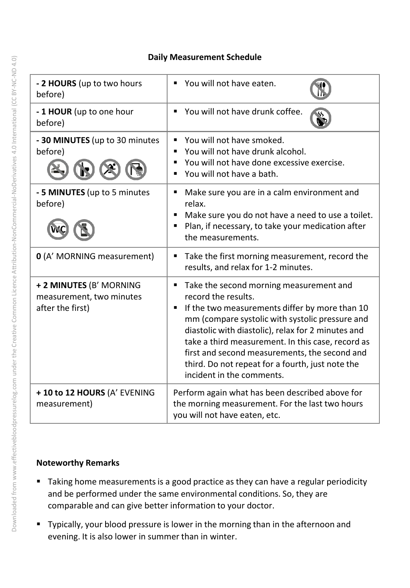#### **Daily Measurement Schedule**

| - 2 HOURS (up to two hours<br>before)                                   | You will not have eaten.<br>$\blacksquare$                                                                                                                                                                                                                                                                                                                                                                                 |
|-------------------------------------------------------------------------|----------------------------------------------------------------------------------------------------------------------------------------------------------------------------------------------------------------------------------------------------------------------------------------------------------------------------------------------------------------------------------------------------------------------------|
| - 1 HOUR (up to one hour<br>before)                                     | You will not have drunk coffee.                                                                                                                                                                                                                                                                                                                                                                                            |
| - 30 MINUTES (up to 30 minutes<br>before)                               | You will not have smoked.<br>$\blacksquare$<br>You will not have drunk alcohol.<br>You will not have done excessive exercise.<br>You will not have a bath.                                                                                                                                                                                                                                                                 |
| - 5 MINUTES (up to 5 minutes<br>before)                                 | Make sure you are in a calm environment and<br>$\blacksquare$<br>relax.<br>Make sure you do not have a need to use a toilet.<br>$\blacksquare$<br>Plan, if necessary, to take your medication after<br>$\blacksquare$<br>the measurements.                                                                                                                                                                                 |
| 0 (A' MORNING measurement)                                              | Take the first morning measurement, record the<br>٠<br>results, and relax for 1-2 minutes.                                                                                                                                                                                                                                                                                                                                 |
| + 2 MINUTES (B' MORNING<br>measurement, two minutes<br>after the first) | Take the second morning measurement and<br>٠<br>record the results.<br>If the two measurements differ by more than 10<br>٠<br>mm (compare systolic with systolic pressure and<br>diastolic with diastolic), relax for 2 minutes and<br>take a third measurement. In this case, record as<br>first and second measurements, the second and<br>third. Do not repeat for a fourth, just note the<br>incident in the comments. |
| + 10 to 12 HOURS (A' EVENING<br>measurement)                            | Perform again what has been described above for<br>the morning measurement. For the last two hours<br>you will not have eaten, etc.                                                                                                                                                                                                                                                                                        |

## **Noteworthy Remarks**

- **Taking home measurements is a good practice as they can have a regular periodicity** and be performed under the same environmental conditions. So, they are comparable and can give better information to your doctor.
- **Typically, your blood pressure is lower in the morning than in the afternoon and** evening. It is also lower in summer than in winter.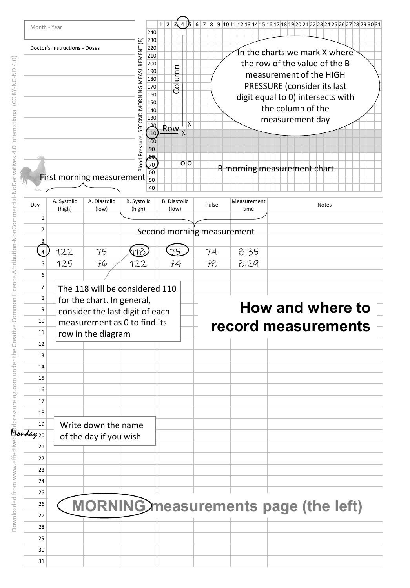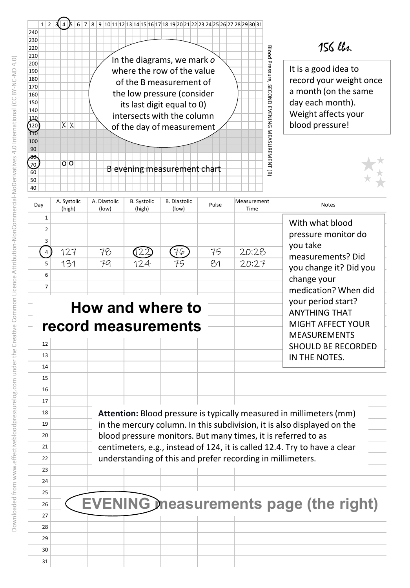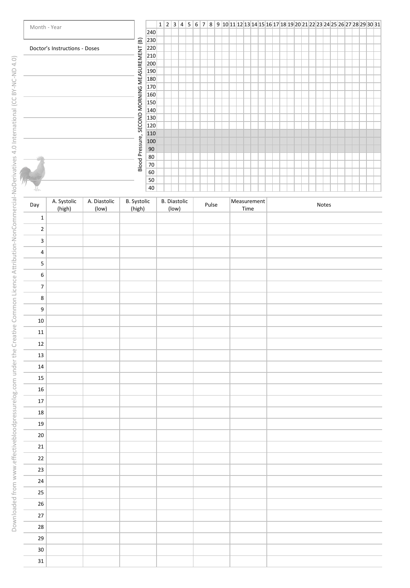

| Day                      | A. Systolic<br>(high) | A. Diastolic<br>(low) | B. Systolic<br>(high) | <b>B.</b> Diastolic<br>(low) | Pulse | Measurement<br>Time | Notes |
|--------------------------|-----------------------|-----------------------|-----------------------|------------------------------|-------|---------------------|-------|
| $\mathbf 1$              |                       |                       |                       |                              |       |                     |       |
| $\mathbf 2$              |                       |                       |                       |                              |       |                     |       |
| 3                        |                       |                       |                       |                              |       |                     |       |
| $\sqrt{4}$               |                       |                       |                       |                              |       |                     |       |
| $\sf 5$                  |                       |                       |                       |                              |       |                     |       |
| $\,$ 6 $\,$              |                       |                       |                       |                              |       |                     |       |
| $\overline{\mathcal{I}}$ |                       |                       |                       |                              |       |                     |       |
| $\bf 8$                  |                       |                       |                       |                              |       |                     |       |
| $\overline{9}$           |                       |                       |                       |                              |       |                     |       |
| $10\,$                   |                       |                       |                       |                              |       |                     |       |
| ${\bf 11}$               |                       |                       |                       |                              |       |                     |       |
| $12\,$                   |                       |                       |                       |                              |       |                     |       |
| $13\,$                   |                       |                       |                       |                              |       |                     |       |
| $14\,$                   |                       |                       |                       |                              |       |                     |       |
| 15                       |                       |                       |                       |                              |       |                     |       |
| $16\,$                   |                       |                       |                       |                              |       |                     |       |
| 17                       |                       |                       |                       |                              |       |                     |       |
| 18                       |                       |                       |                       |                              |       |                     |       |
| 19                       |                       |                       |                       |                              |       |                     |       |
| $20\,$                   |                       |                       |                       |                              |       |                     |       |
| ${\bf 21}$               |                       |                       |                       |                              |       |                     |       |
| 22                       |                       |                       |                       |                              |       |                     |       |
| 23                       |                       |                       |                       |                              |       |                     |       |
| $24\,$                   |                       |                       |                       |                              |       |                     |       |
| 25                       |                       |                       |                       |                              |       |                     |       |
| $26\,$                   |                       |                       |                       |                              |       |                     |       |
| 27                       |                       |                       |                       |                              |       |                     |       |
| 28                       |                       |                       |                       |                              |       |                     |       |
| 29                       |                       |                       |                       |                              |       |                     |       |
| $30\,$                   |                       |                       |                       |                              |       |                     |       |
| $\mathbf{31}$            |                       |                       |                       |                              |       |                     |       |